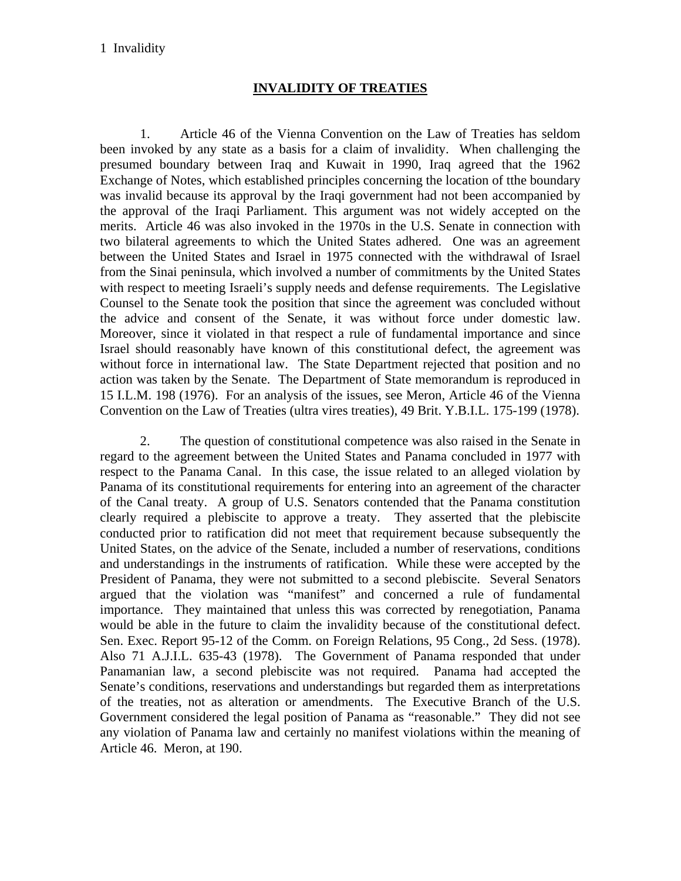## **INVALIDITY OF TREATIES**

1. Article 46 of the Vienna Convention on the Law of Treaties has seldom been invoked by any state as a basis for a claim of invalidity. When challenging the presumed boundary between Iraq and Kuwait in 1990, Iraq agreed that the 1962 Exchange of Notes, which established principles concerning the location of tthe boundary was invalid because its approval by the Iraqi government had not been accompanied by the approval of the Iraqi Parliament. This argument was not widely accepted on the merits. Article 46 was also invoked in the 1970s in the U.S. Senate in connection with two bilateral agreements to which the United States adhered. One was an agreement between the United States and Israel in 1975 connected with the withdrawal of Israel from the Sinai peninsula, which involved a number of commitments by the United States with respect to meeting Israeli's supply needs and defense requirements. The Legislative Counsel to the Senate took the position that since the agreement was concluded without the advice and consent of the Senate, it was without force under domestic law. Moreover, since it violated in that respect a rule of fundamental importance and since Israel should reasonably have known of this constitutional defect, the agreement was without force in international law. The State Department rejected that position and no action was taken by the Senate. The Department of State memorandum is reproduced in 15 I.L.M. 198 (1976). For an analysis of the issues, see Meron, Article 46 of the Vienna Convention on the Law of Treaties (ultra vires treaties), 49 Brit. Y.B.I.L. 175-199 (1978).

2. The question of constitutional competence was also raised in the Senate in regard to the agreement between the United States and Panama concluded in 1977 with respect to the Panama Canal. In this case, the issue related to an alleged violation by Panama of its constitutional requirements for entering into an agreement of the character of the Canal treaty. A group of U.S. Senators contended that the Panama constitution clearly required a plebiscite to approve a treaty. They asserted that the plebiscite conducted prior to ratification did not meet that requirement because subsequently the United States, on the advice of the Senate, included a number of reservations, conditions and understandings in the instruments of ratification. While these were accepted by the President of Panama, they were not submitted to a second plebiscite. Several Senators argued that the violation was "manifest" and concerned a rule of fundamental importance. They maintained that unless this was corrected by renegotiation, Panama would be able in the future to claim the invalidity because of the constitutional defect. Sen. Exec. Report 95-12 of the Comm. on Foreign Relations, 95 Cong., 2d Sess. (1978). Also 71 A.J.I.L. 635-43 (1978). The Government of Panama responded that under Panamanian law, a second plebiscite was not required. Panama had accepted the Senate's conditions, reservations and understandings but regarded them as interpretations of the treaties, not as alteration or amendments. The Executive Branch of the U.S. Government considered the legal position of Panama as "reasonable." They did not see any violation of Panama law and certainly no manifest violations within the meaning of Article 46. Meron, at 190.